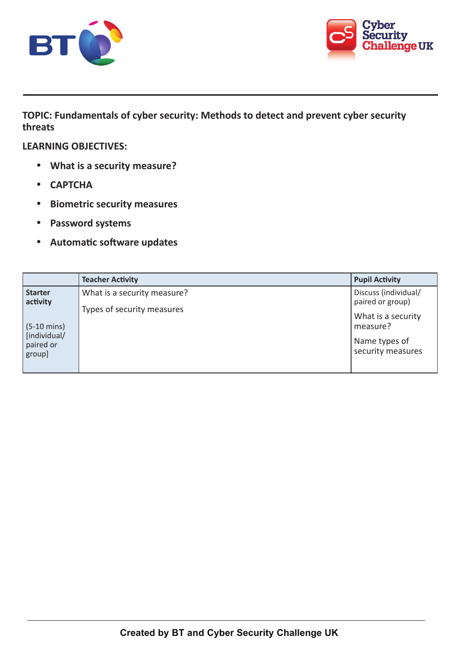



**TOPIC: Fundamentals of cyber security: Methods to detect and prevent cyber security threats**

## **LEARNING OBJECTIVES:**

- **What is a security measure?**
- **CAPTCHA**
- **Biometric security measures**
- **Password systems**
- **Automatic software updates**

|                                                              | <b>Teacher Activity</b>                                   | <b>Pupil Activity</b>                                          |
|--------------------------------------------------------------|-----------------------------------------------------------|----------------------------------------------------------------|
| <b>Starter</b><br>activity                                   | What is a security measure?<br>Types of security measures | Discuss (individual/<br>paired or group)<br>What is a security |
| $(5-10 \text{ mins})$<br>[individual/<br>paired or<br>group] |                                                           | measure?<br>Name types of<br>security measures                 |
|                                                              |                                                           |                                                                |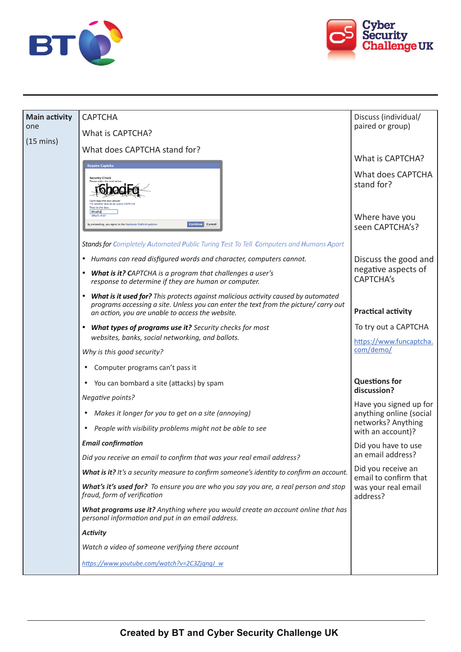



| <b>Main activity</b> | <b>CAPTCHA</b>                                                                                                                                                                                                                     | Discuss (individual/                          |
|----------------------|------------------------------------------------------------------------------------------------------------------------------------------------------------------------------------------------------------------------------------|-----------------------------------------------|
| one                  | What is CAPTCHA?                                                                                                                                                                                                                   | paired or group)                              |
| $(15 \text{ mins})$  | What does CAPTCHA stand for?                                                                                                                                                                                                       | What is CAPTCHA?                              |
|                      | <b>Require Captcha</b><br><b>Security Check</b><br>her text or an audio CAPTCHA<br>Fext in the hox:<br>r6hodFa<br>What's this<br><b>Continue</b> Cancel<br>proceeding, you agree to the Facebook Platform policies                 | What does CAPTCHA<br>stand for?               |
|                      |                                                                                                                                                                                                                                    | Where have you<br>seen CAPTCHA's?             |
|                      | Stands for Completely Automated Public Turing Test To Tell Computers and Humans Apart                                                                                                                                              |                                               |
|                      | • Humans can read disfigured words and character, computers cannot.                                                                                                                                                                | Discuss the good and                          |
|                      | • What is it? CAPTCHA is a program that challenges a user's<br>response to determine if they are human or computer.                                                                                                                | negative aspects of<br><b>CAPTCHA's</b>       |
|                      | What is it used for? This protects against malicious activity caused by automated<br>٠<br>programs accessing a site. Unless you can enter the text from the picture/ carry out<br>an action, you are unable to access the website. | <b>Practical activity</b>                     |
|                      | • What types of programs use it? Security checks for most<br>websites, banks, social networking, and ballots.                                                                                                                      | To try out a CAPTCHA                          |
|                      | Why is this good security?                                                                                                                                                                                                         | https://www.funcaptcha.<br>com/demo/          |
|                      | Computer programs can't pass it<br>$\bullet$                                                                                                                                                                                       |                                               |
|                      | You can bombard a site (attacks) by spam<br>٠                                                                                                                                                                                      | <b>Questions for</b><br>discussion?           |
|                      | Negative points?                                                                                                                                                                                                                   | Have you signed up for                        |
|                      | Makes it longer for you to get on a site (annoying)<br>$\bullet$                                                                                                                                                                   | anything online (social<br>networks? Anything |
|                      | People with visibility problems might not be able to see<br>$\bullet$                                                                                                                                                              | with an account)?                             |
|                      | <b>Email confirmation</b>                                                                                                                                                                                                          | Did you have to use<br>an email address?      |
|                      | Did you receive an email to confirm that was your real email address?                                                                                                                                                              | Did you receive an                            |
|                      | What is it? It's a security measure to confirm someone's identity to confirm an account.                                                                                                                                           | email to confirm that                         |
|                      | What's it's used for? To ensure you are who you say you are, a real person and stop<br>fraud, form of verification                                                                                                                 | was your real email<br>address?               |
|                      | What programs use it? Anything where you would create an account online that has<br>personal information and put in an email address.                                                                                              |                                               |
|                      | Activity                                                                                                                                                                                                                           |                                               |
|                      | Watch a video of someone verifying there account                                                                                                                                                                                   |                                               |
|                      | https://www.youtube.com/watch?v=2C3ZjqngJ_w                                                                                                                                                                                        |                                               |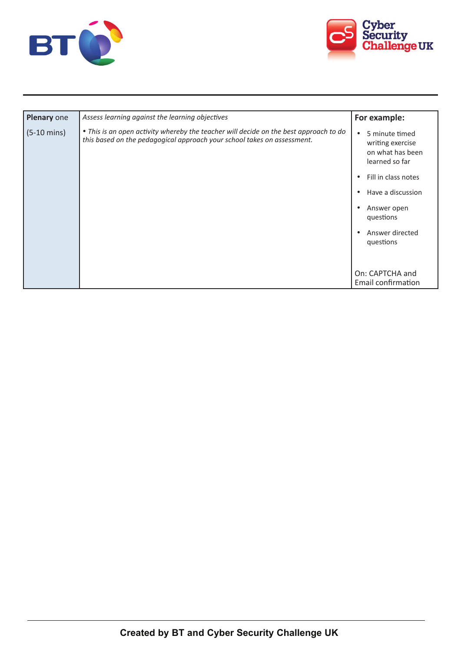



| Plenary one           | Assess learning against the learning objectives                                                                                                                  | For example:                                                                                                                                                                                 |
|-----------------------|------------------------------------------------------------------------------------------------------------------------------------------------------------------|----------------------------------------------------------------------------------------------------------------------------------------------------------------------------------------------|
| $(5-10 \text{ mins})$ | • This is an open activity whereby the teacher will decide on the best approach to do<br>this based on the pedagogical approach your school takes on assessment. | 5 minute timed<br>$\bullet$<br>writing exercise<br>on what has been<br>learned so far<br>Fill in class notes<br>$\bullet$<br>Have a discussion<br>$\bullet$<br>Answer open<br>٠<br>questions |
|                       |                                                                                                                                                                  | Answer directed<br>$\bullet$<br>questions<br>On: CAPTCHA and<br><b>Email confirmation</b>                                                                                                    |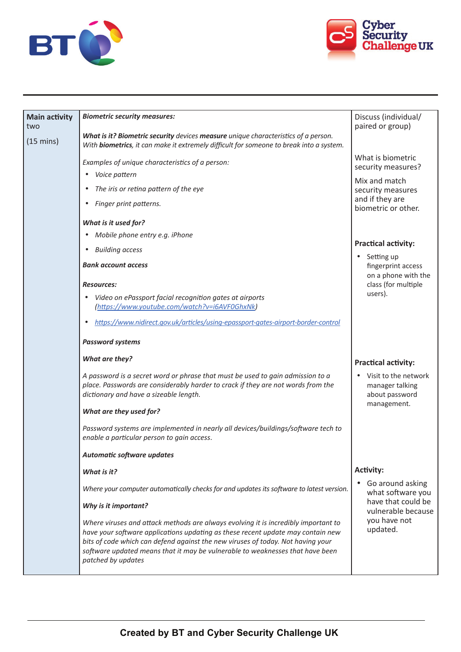



| <b>Main activity</b> | <b>Biometric security measures:</b>                                                                                                                                                                                                                                                                                                                             | Discuss (individual/                                                       |
|----------------------|-----------------------------------------------------------------------------------------------------------------------------------------------------------------------------------------------------------------------------------------------------------------------------------------------------------------------------------------------------------------|----------------------------------------------------------------------------|
| two                  |                                                                                                                                                                                                                                                                                                                                                                 | paired or group)                                                           |
| $(15 \text{ mins})$  | What is it? Biometric security devices measure unique characteristics of a person.<br>With biometrics, it can make it extremely difficult for someone to break into a system.                                                                                                                                                                                   |                                                                            |
|                      | Examples of unique characteristics of a person:                                                                                                                                                                                                                                                                                                                 | What is biometric<br>security measures?                                    |
|                      | Voice pattern<br>$\bullet$                                                                                                                                                                                                                                                                                                                                      | Mix and match                                                              |
|                      | The iris or retina pattern of the eye                                                                                                                                                                                                                                                                                                                           | security measures                                                          |
|                      | Finger print patterns.<br>$\bullet$                                                                                                                                                                                                                                                                                                                             | and if they are<br>biometric or other.                                     |
|                      | What is it used for?                                                                                                                                                                                                                                                                                                                                            |                                                                            |
|                      | Mobile phone entry e.g. iPhone                                                                                                                                                                                                                                                                                                                                  |                                                                            |
|                      | <b>Building access</b><br>$\bullet$                                                                                                                                                                                                                                                                                                                             | <b>Practical activity:</b>                                                 |
|                      | <b>Bank account access</b>                                                                                                                                                                                                                                                                                                                                      | Setting up<br>٠<br>fingerprint access<br>on a phone with the               |
|                      | <b>Resources:</b>                                                                                                                                                                                                                                                                                                                                               | class (for multiple                                                        |
|                      | Video on ePassport facial recognition gates at airports<br>٠<br>(https://www.youtube.com/watch?v=i6AVF0GhxNk)                                                                                                                                                                                                                                                   | users).                                                                    |
|                      | https://www.nidirect.gov.uk/articles/using-epassport-gates-airport-border-control<br>$\bullet$                                                                                                                                                                                                                                                                  |                                                                            |
|                      | <b>Password systems</b>                                                                                                                                                                                                                                                                                                                                         |                                                                            |
|                      | What are they?                                                                                                                                                                                                                                                                                                                                                  | <b>Practical activity:</b>                                                 |
|                      | A password is a secret word or phrase that must be used to gain admission to a<br>place. Passwords are considerably harder to crack if they are not words from the<br>dictionary and have a sizeable length.                                                                                                                                                    | • Visit to the network<br>manager talking<br>about password<br>management. |
|                      | What are they used for?                                                                                                                                                                                                                                                                                                                                         |                                                                            |
|                      | Password systems are implemented in nearly all devices/buildings/software tech to<br>enable a particular person to gain access.                                                                                                                                                                                                                                 |                                                                            |
|                      | Automatic software updates                                                                                                                                                                                                                                                                                                                                      |                                                                            |
|                      | What is it?                                                                                                                                                                                                                                                                                                                                                     | <b>Activity:</b>                                                           |
|                      | Where your computer automatically checks for and updates its software to latest version.                                                                                                                                                                                                                                                                        | • Go around asking<br>what software you                                    |
|                      | Why is it important?                                                                                                                                                                                                                                                                                                                                            | have that could be<br>vulnerable because                                   |
|                      | Where viruses and attack methods are always evolving it is incredibly important to<br>have your software applications updating as these recent update may contain new<br>bits of code which can defend against the new viruses of today. Not having your<br>software updated means that it may be vulnerable to weaknesses that have been<br>patched by updates | you have not<br>updated.                                                   |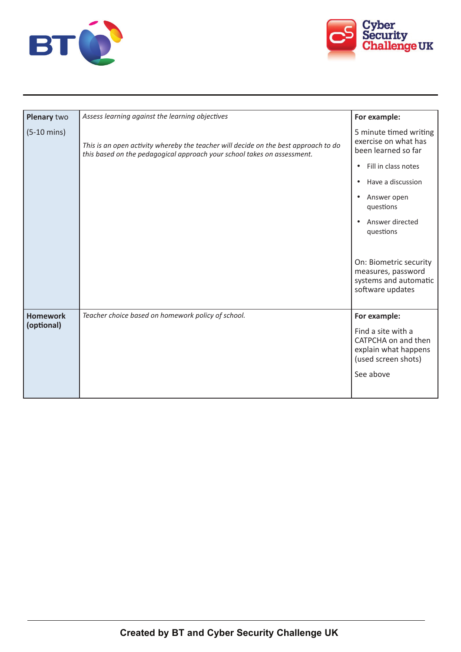



| Plenary two                   | Assess learning against the learning objectives                                                                                                                | For example:                                                                                                                                                                                                                                                                                                                   |
|-------------------------------|----------------------------------------------------------------------------------------------------------------------------------------------------------------|--------------------------------------------------------------------------------------------------------------------------------------------------------------------------------------------------------------------------------------------------------------------------------------------------------------------------------|
| $(5-10 \text{ mins})$         | This is an open activity whereby the teacher will decide on the best approach to do<br>this based on the pedagogical approach your school takes on assessment. | 5 minute timed writing<br>exercise on what has<br>been learned so far<br>Fill in class notes<br>$\bullet$<br>Have a discussion<br>$\bullet$<br>Answer open<br>$\bullet$<br>questions<br>Answer directed<br>$\bullet$<br>questions<br>On: Biometric security<br>measures, password<br>systems and automatic<br>software updates |
| <b>Homework</b><br>(optional) | Teacher choice based on homework policy of school.                                                                                                             | For example:<br>Find a site with a<br>CATPCHA on and then<br>explain what happens<br>(used screen shots)<br>See above                                                                                                                                                                                                          |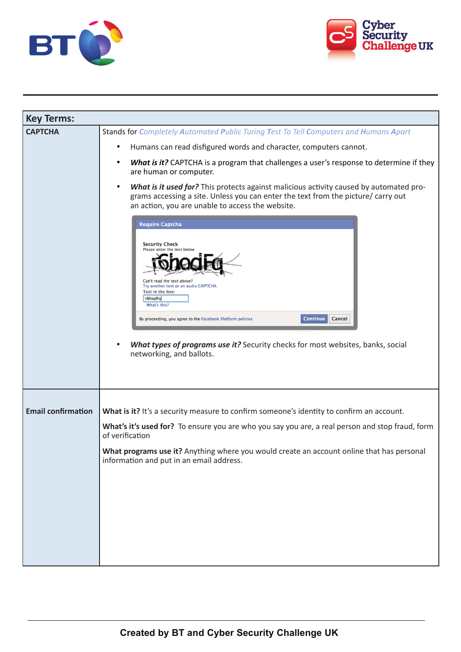



| <b>Key Terms:</b>         |                                                                                                                                                                                                                                                                                                                                                                                                                     |  |
|---------------------------|---------------------------------------------------------------------------------------------------------------------------------------------------------------------------------------------------------------------------------------------------------------------------------------------------------------------------------------------------------------------------------------------------------------------|--|
| <b>CAPTCHA</b>            | Stands for Completely Automated Public Turing Test To Tell Computers and Humans Apart                                                                                                                                                                                                                                                                                                                               |  |
|                           | Humans can read disfigured words and character, computers cannot.<br>$\bullet$                                                                                                                                                                                                                                                                                                                                      |  |
|                           | What is it? CAPTCHA is a program that challenges a user's response to determine if they<br>٠<br>are human or computer.                                                                                                                                                                                                                                                                                              |  |
|                           | What is it used for? This protects against malicious activity caused by automated pro-<br>٠<br>grams accessing a site. Unless you can enter the text from the picture/ carry out<br>an action, you are unable to access the website.                                                                                                                                                                                |  |
|                           | Require Captcha<br><b>Security Check</b><br>Please enter the text below<br>Can't read the text above?<br>Try another text or an audio CAPTCHA<br>Text in the box:<br>r6hodFq<br>What's this?<br><b>Continue</b><br>Cancel<br>By proceeding, you agree to the Facebook Platform policies<br>What types of programs use it? Security checks for most websites, banks, social<br>$\bullet$<br>networking, and ballots. |  |
| <b>Email confirmation</b> | What is it? It's a security measure to confirm someone's identity to confirm an account.                                                                                                                                                                                                                                                                                                                            |  |
|                           | What's it's used for? To ensure you are who you say you are, a real person and stop fraud, form<br>of verification                                                                                                                                                                                                                                                                                                  |  |
|                           | What programs use it? Anything where you would create an account online that has personal<br>information and put in an email address.                                                                                                                                                                                                                                                                               |  |